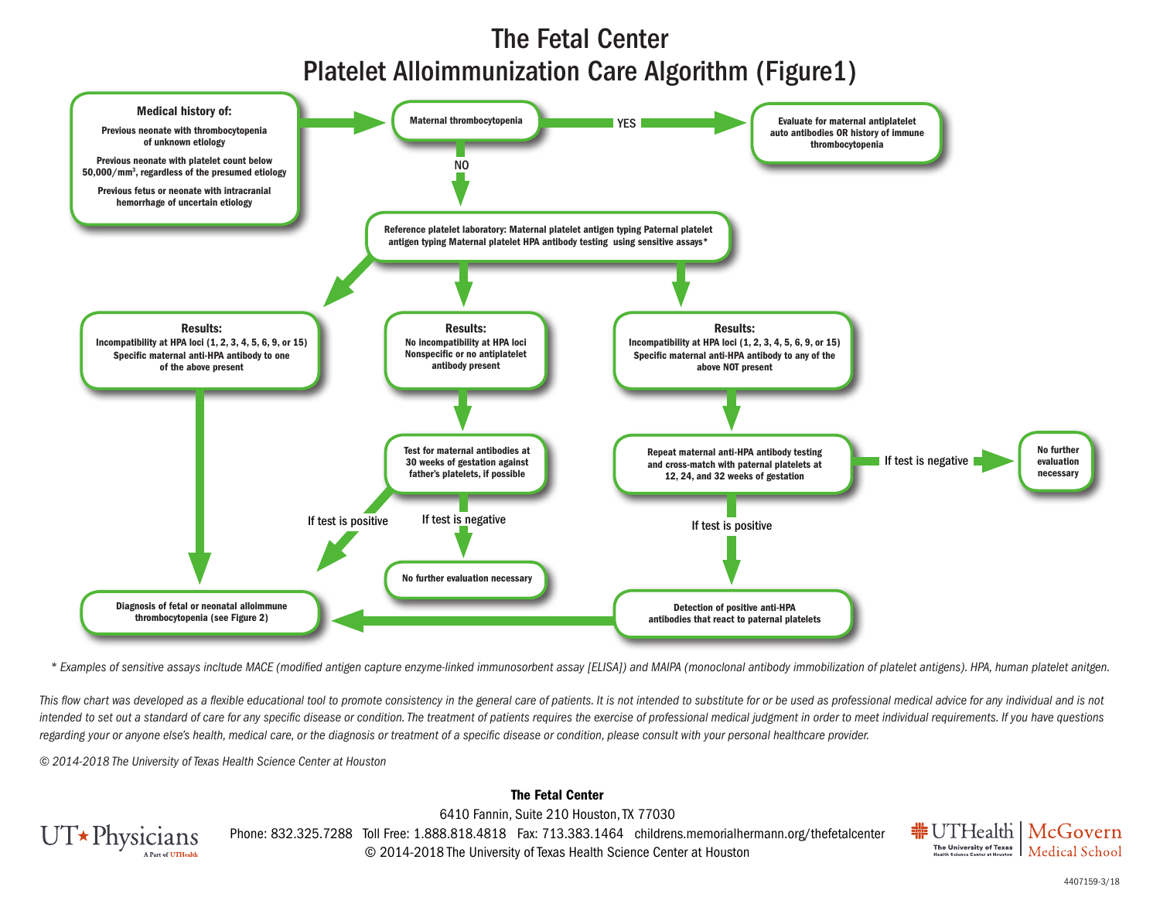## The Fetal Center Platelet Alloimmunization Care Algorithm (Figure1)



*\* Examples of sensitive assays incltude MACE (modified antigen capture enzyme-linked immunosorbent assay [ELISA]) and MAIPA (monoclonal antibody immobilization of platelet antigens). HPA, human platelet anitgen.* 

This flow chart was developed as a flexible educational tool to promote consistency in the general care of patients. It is not intended to substitute for or be used as professional medical advice for any individual and is intended to set out a standard of care for any specific disease or condition. The treatment of patients requires the exercise of professional medical judgment in order to meet individual requirements. If you have questions *regarding your or anyone else's health, medical care, or the diagnosis or treatment of a specific disease or condition, please consult with your personal healthcare provider.*

*© 2014-2018 The University of Texas Health Science Center at Houston*



6410 Fannin, Suite 210 Houston, TX 77030 Phone: 832.325.7288 Toll Free: 1.888.818.4818 Fax: 713.383.1464 childrens.memorialhermann.org/thefetalcenter © 2014-2018 The University of Texas Health Science Center at Houston

The Fetal Center



4407159-3/18